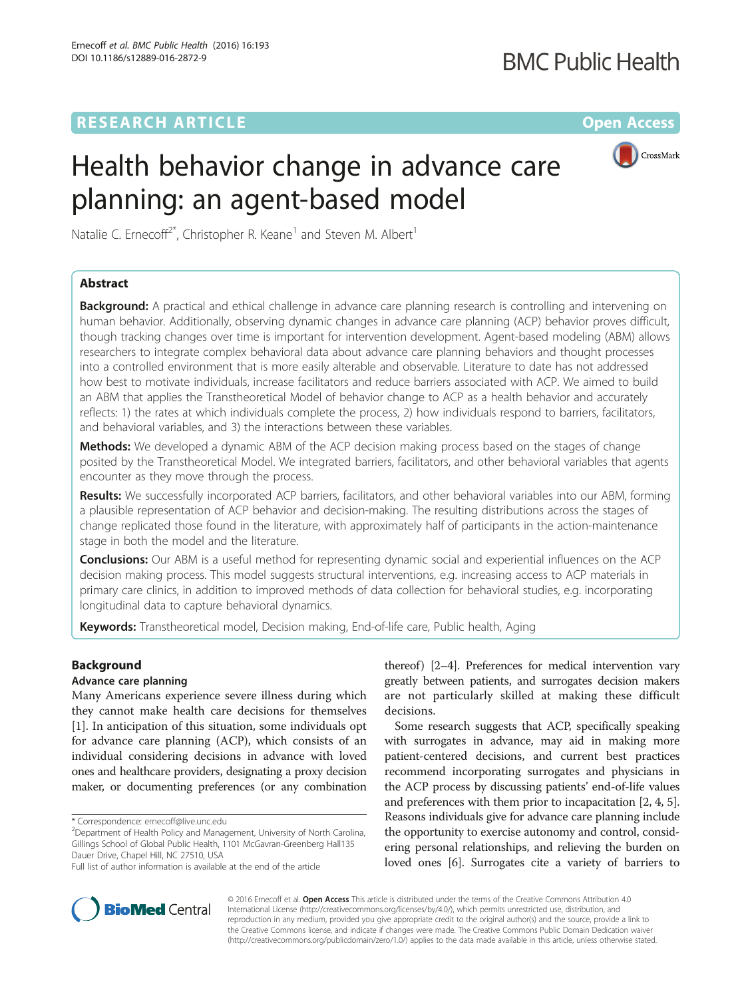## **RESEARCH ARTICLE External Structure Community Community Community Community Community Community Community Community**

# Health behavior change in advance care planning: an agent-based model



Natalie C. Ernecoff<sup>2\*</sup>, Christopher R. Keane<sup>1</sup> and Steven M. Albert<sup>1</sup>

## Abstract

**Background:** A practical and ethical challenge in advance care planning research is controlling and intervening on human behavior. Additionally, observing dynamic changes in advance care planning (ACP) behavior proves difficult, though tracking changes over time is important for intervention development. Agent-based modeling (ABM) allows researchers to integrate complex behavioral data about advance care planning behaviors and thought processes into a controlled environment that is more easily alterable and observable. Literature to date has not addressed how best to motivate individuals, increase facilitators and reduce barriers associated with ACP. We aimed to build an ABM that applies the Transtheoretical Model of behavior change to ACP as a health behavior and accurately reflects: 1) the rates at which individuals complete the process, 2) how individuals respond to barriers, facilitators, and behavioral variables, and 3) the interactions between these variables.

Methods: We developed a dynamic ABM of the ACP decision making process based on the stages of change posited by the Transtheoretical Model. We integrated barriers, facilitators, and other behavioral variables that agents encounter as they move through the process.

Results: We successfully incorporated ACP barriers, facilitators, and other behavioral variables into our ABM, forming a plausible representation of ACP behavior and decision-making. The resulting distributions across the stages of change replicated those found in the literature, with approximately half of participants in the action-maintenance stage in both the model and the literature.

Conclusions: Our ABM is a useful method for representing dynamic social and experiential influences on the ACP decision making process. This model suggests structural interventions, e.g. increasing access to ACP materials in primary care clinics, in addition to improved methods of data collection for behavioral studies, e.g. incorporating longitudinal data to capture behavioral dynamics.

Keywords: Transtheoretical model, Decision making, End-of-life care, Public health, Aging

## Background

## Advance care planning

Many Americans experience severe illness during which they cannot make health care decisions for themselves [[1\]](#page-8-0). In anticipation of this situation, some individuals opt for advance care planning (ACP), which consists of an individual considering decisions in advance with loved ones and healthcare providers, designating a proxy decision maker, or documenting preferences (or any combination

\* Correspondence: [ernecoff@live.unc.edu](mailto:ernecoff@live.unc.edu) <sup>2</sup>

<sup>2</sup>Department of Health Policy and Management, University of North Carolina, Gillings School of Global Public Health, 1101 McGavran-Greenberg Hall135 Dauer Drive, Chapel Hill, NC 27510, USA

Full list of author information is available at the end of the article

thereof)  $[2-4]$  $[2-4]$  $[2-4]$  $[2-4]$ . Preferences for medical intervention vary greatly between patients, and surrogates decision makers are not particularly skilled at making these difficult decisions.

Some research suggests that ACP, specifically speaking with surrogates in advance, may aid in making more patient-centered decisions, and current best practices recommend incorporating surrogates and physicians in the ACP process by discussing patients' end-of-life values and preferences with them prior to incapacitation [\[2](#page-8-0), [4, 5](#page-8-0)]. Reasons individuals give for advance care planning include the opportunity to exercise autonomy and control, considering personal relationships, and relieving the burden on loved ones [[6\]](#page-8-0). Surrogates cite a variety of barriers to



© 2016 Ernecoff et al. **Open Access** This article is distributed under the terms of the Creative Commons Attribution 4.0 International License [\(http://creativecommons.org/licenses/by/4.0/](http://creativecommons.org/licenses/by/4.0/)), which permits unrestricted use, distribution, and reproduction in any medium, provided you give appropriate credit to the original author(s) and the source, provide a link to the Creative Commons license, and indicate if changes were made. The Creative Commons Public Domain Dedication waiver [\(http://creativecommons.org/publicdomain/zero/1.0/](http://creativecommons.org/publicdomain/zero/1.0/)) applies to the data made available in this article, unless otherwise stated.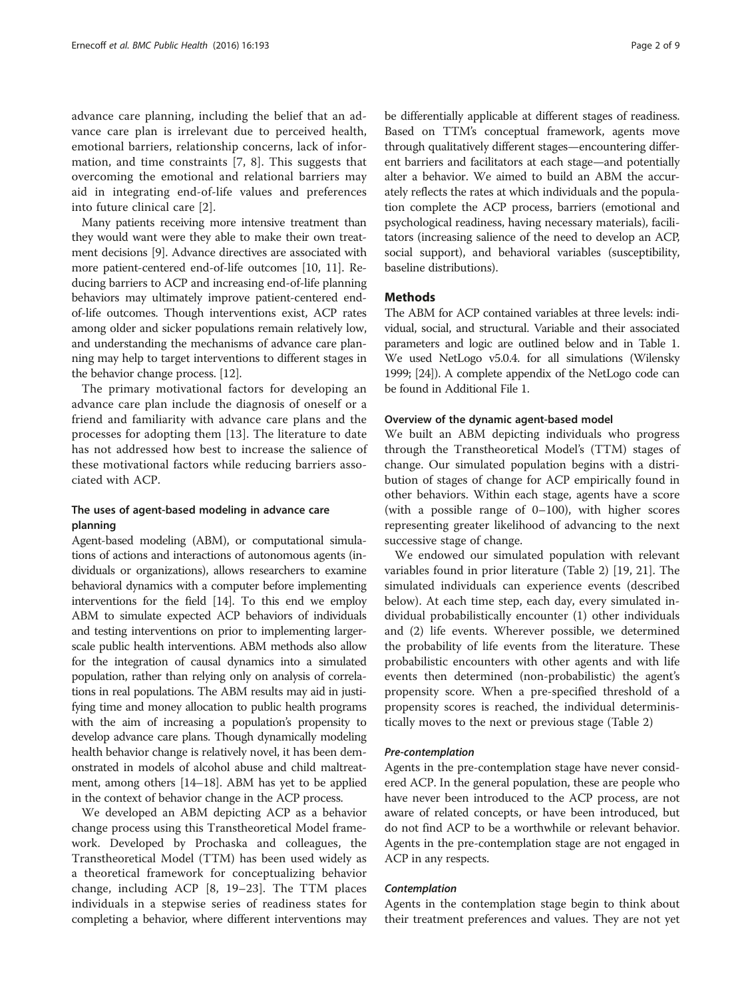advance care planning, including the belief that an advance care plan is irrelevant due to perceived health, emotional barriers, relationship concerns, lack of information, and time constraints [[7, 8\]](#page-8-0). This suggests that overcoming the emotional and relational barriers may aid in integrating end-of-life values and preferences into future clinical care [\[2](#page-8-0)].

Many patients receiving more intensive treatment than they would want were they able to make their own treatment decisions [\[9\]](#page-8-0). Advance directives are associated with more patient-centered end-of-life outcomes [\[10, 11\]](#page-8-0). Reducing barriers to ACP and increasing end-of-life planning behaviors may ultimately improve patient-centered endof-life outcomes. Though interventions exist, ACP rates among older and sicker populations remain relatively low, and understanding the mechanisms of advance care planning may help to target interventions to different stages in the behavior change process. [[12](#page-8-0)].

The primary motivational factors for developing an advance care plan include the diagnosis of oneself or a friend and familiarity with advance care plans and the processes for adopting them [[13\]](#page-8-0). The literature to date has not addressed how best to increase the salience of these motivational factors while reducing barriers associated with ACP.

## The uses of agent-based modeling in advance care planning

Agent-based modeling (ABM), or computational simulations of actions and interactions of autonomous agents (individuals or organizations), allows researchers to examine behavioral dynamics with a computer before implementing interventions for the field [\[14\]](#page-8-0). To this end we employ ABM to simulate expected ACP behaviors of individuals and testing interventions on prior to implementing largerscale public health interventions. ABM methods also allow for the integration of causal dynamics into a simulated population, rather than relying only on analysis of correlations in real populations. The ABM results may aid in justifying time and money allocation to public health programs with the aim of increasing a population's propensity to develop advance care plans. Though dynamically modeling health behavior change is relatively novel, it has been demonstrated in models of alcohol abuse and child maltreatment, among others [[14](#page-8-0)–[18\]](#page-8-0). ABM has yet to be applied in the context of behavior change in the ACP process.

We developed an ABM depicting ACP as a behavior change process using this Transtheoretical Model framework. Developed by Prochaska and colleagues, the Transtheoretical Model (TTM) has been used widely as a theoretical framework for conceptualizing behavior change, including ACP [\[8](#page-8-0), [19](#page-8-0)–[23\]](#page-8-0). The TTM places individuals in a stepwise series of readiness states for completing a behavior, where different interventions may

be differentially applicable at different stages of readiness. Based on TTM's conceptual framework, agents move through qualitatively different stages—encountering different barriers and facilitators at each stage—and potentially alter a behavior. We aimed to build an ABM the accurately reflects the rates at which individuals and the population complete the ACP process, barriers (emotional and psychological readiness, having necessary materials), facilitators (increasing salience of the need to develop an ACP, social support), and behavioral variables (susceptibility, baseline distributions).

## **Methods**

The ABM for ACP contained variables at three levels: individual, social, and structural. Variable and their associated parameters and logic are outlined below and in Table [1](#page-2-0). We used NetLogo v5.0.4. for all simulations (Wilensky 1999; [[24](#page-8-0)]). A complete appendix of the NetLogo code can be found in Additional File 1.

## Overview of the dynamic agent-based model

We built an ABM depicting individuals who progress through the Transtheoretical Model's (TTM) stages of change. Our simulated population begins with a distribution of stages of change for ACP empirically found in other behaviors. Within each stage, agents have a score (with a possible range of 0–100), with higher scores representing greater likelihood of advancing to the next successive stage of change.

We endowed our simulated population with relevant variables found in prior literature (Table [2](#page-3-0)) [[19, 21\]](#page-8-0). The simulated individuals can experience events (described below). At each time step, each day, every simulated individual probabilistically encounter (1) other individuals and (2) life events. Wherever possible, we determined the probability of life events from the literature. These probabilistic encounters with other agents and with life events then determined (non-probabilistic) the agent's propensity score. When a pre-specified threshold of a propensity scores is reached, the individual deterministically moves to the next or previous stage (Table [2](#page-3-0))

#### Pre-contemplation

Agents in the pre-contemplation stage have never considered ACP. In the general population, these are people who have never been introduced to the ACP process, are not aware of related concepts, or have been introduced, but do not find ACP to be a worthwhile or relevant behavior. Agents in the pre-contemplation stage are not engaged in ACP in any respects.

#### Contemplation

Agents in the contemplation stage begin to think about their treatment preferences and values. They are not yet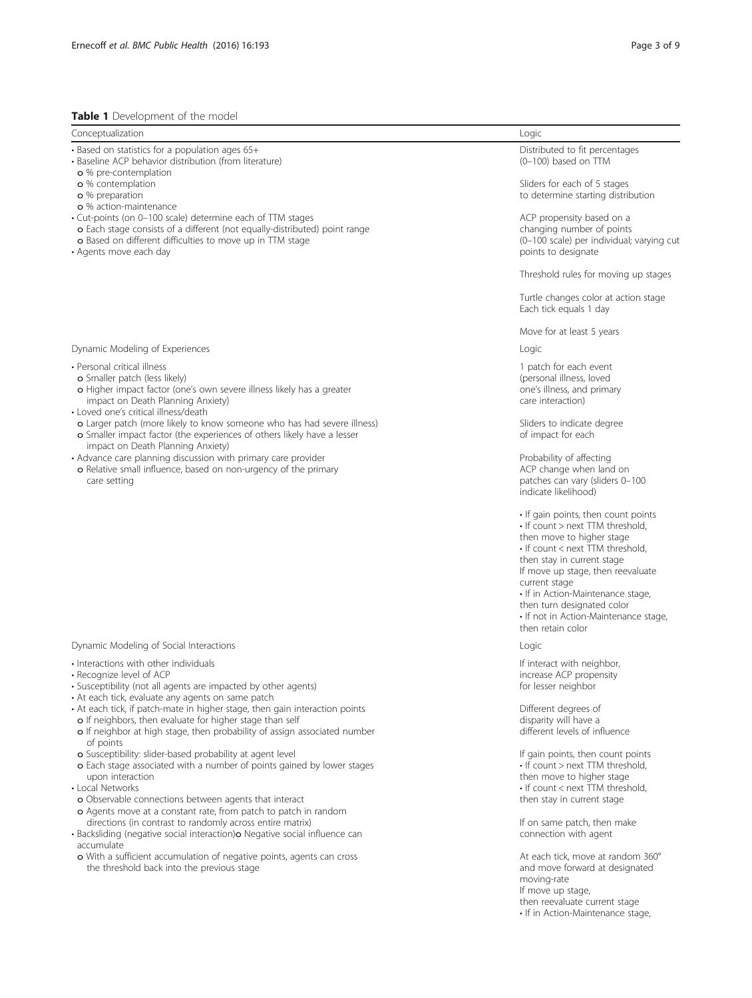## <span id="page-2-0"></span>Table 1 Development of the model

• If in Action-Maintenance stage,

| Conceptualization                                                                                                                                                                                                                                                                      | Logic                                                                                                                                                                                                                                                                                                                                                         |  |
|----------------------------------------------------------------------------------------------------------------------------------------------------------------------------------------------------------------------------------------------------------------------------------------|---------------------------------------------------------------------------------------------------------------------------------------------------------------------------------------------------------------------------------------------------------------------------------------------------------------------------------------------------------------|--|
| • Based on statistics for a population ages 65+<br>• Baseline ACP behavior distribution (from literature)                                                                                                                                                                              | Distributed to fit percentages<br>$(0-100)$ based on TTM                                                                                                                                                                                                                                                                                                      |  |
| o % pre-contemplation<br>o % contemplation<br>o % preparation                                                                                                                                                                                                                          | Sliders for each of 5 stages<br>to determine starting distribution                                                                                                                                                                                                                                                                                            |  |
| o % action-maintenance<br>• Cut-points (on 0-100 scale) determine each of TTM stages<br>o Each stage consists of a different (not equally-distributed) point range<br>o Based on different difficulties to move up in TTM stage<br>• Agents move each day                              | ACP propensity based on a<br>changing number of points<br>(0-100 scale) per individual; varying cut<br>points to designate                                                                                                                                                                                                                                    |  |
|                                                                                                                                                                                                                                                                                        | Threshold rules for moving up stages                                                                                                                                                                                                                                                                                                                          |  |
|                                                                                                                                                                                                                                                                                        | Turtle changes color at action stage<br>Each tick equals 1 day                                                                                                                                                                                                                                                                                                |  |
|                                                                                                                                                                                                                                                                                        | Move for at least 5 years                                                                                                                                                                                                                                                                                                                                     |  |
| Dynamic Modeling of Experiences                                                                                                                                                                                                                                                        | Logic                                                                                                                                                                                                                                                                                                                                                         |  |
| • Personal critical illness<br>o Smaller patch (less likely)<br>o Higher impact factor (one's own severe illness likely has a greater<br>impact on Death Planning Anxiety)<br>• Loved one's critical illness/death                                                                     | 1 patch for each event<br>(personal illness, loved<br>one's illness, and primary<br>care interaction)                                                                                                                                                                                                                                                         |  |
| o Larger patch (more likely to know someone who has had severe illness)<br>o Smaller impact factor (the experiences of others likely have a lesser<br>impact on Death Planning Anxiety)                                                                                                | Sliders to indicate degree<br>of impact for each                                                                                                                                                                                                                                                                                                              |  |
| • Advance care planning discussion with primary care provider<br>o Relative small influence, based on non-urgency of the primary<br>care setting                                                                                                                                       | Probability of affecting<br>ACP change when land on<br>patches can vary (sliders 0-100<br>indicate likelihood)                                                                                                                                                                                                                                                |  |
|                                                                                                                                                                                                                                                                                        | • If gain points, then count points<br>• If count > next TTM threshold,<br>then move to higher stage<br>• If count < next TTM threshold,<br>then stay in current stage<br>If move up stage, then reevaluate<br>current stage<br>· If in Action-Maintenance stage,<br>then turn designated color<br>· If not in Action-Maintenance stage,<br>then retain color |  |
| Dynamic Modeling of Social Interactions                                                                                                                                                                                                                                                | Logic                                                                                                                                                                                                                                                                                                                                                         |  |
| • Interactions with other individuals<br>• Recognize level of ACP<br>• Susceptibility (not all agents are impacted by other agents)                                                                                                                                                    | If interact with neighbor,<br>increase ACP propensity<br>for lesser neighbor                                                                                                                                                                                                                                                                                  |  |
| • At each tick, evaluate any agents on same patch<br>• At each tick, if patch-mate in higher stage, then gain interaction points<br>o If neighbors, then evaluate for higher stage than self<br>o If neighbor at high stage, then probability of assign associated number<br>of points | Different degrees of<br>disparity will have a<br>different levels of influence                                                                                                                                                                                                                                                                                |  |
| o Susceptibility: slider-based probability at agent level<br>o Each stage associated with a number of points gained by lower stages<br>upon interaction<br>• Local Networks<br>o Observable connections between agents that interact                                                   | If gain points, then count points<br>• If count > next TTM threshold,<br>then move to higher stage<br>• If count < next TTM threshold,<br>then stay in current stage                                                                                                                                                                                          |  |
| o Agents move at a constant rate, from patch to patch in random<br>directions (in contrast to randomly across entire matrix)<br>· Backsliding (negative social interaction) o Negative social influence can<br>accumulate                                                              | If on same patch, then make<br>connection with agent                                                                                                                                                                                                                                                                                                          |  |
| o With a sufficient accumulation of negative points, agents can cross<br>the threshold back into the previous stage                                                                                                                                                                    | At each tick, move at random 360°<br>and move forward at designated<br>moving-rate<br>If move up stage,<br>then reevaluate current stage                                                                                                                                                                                                                      |  |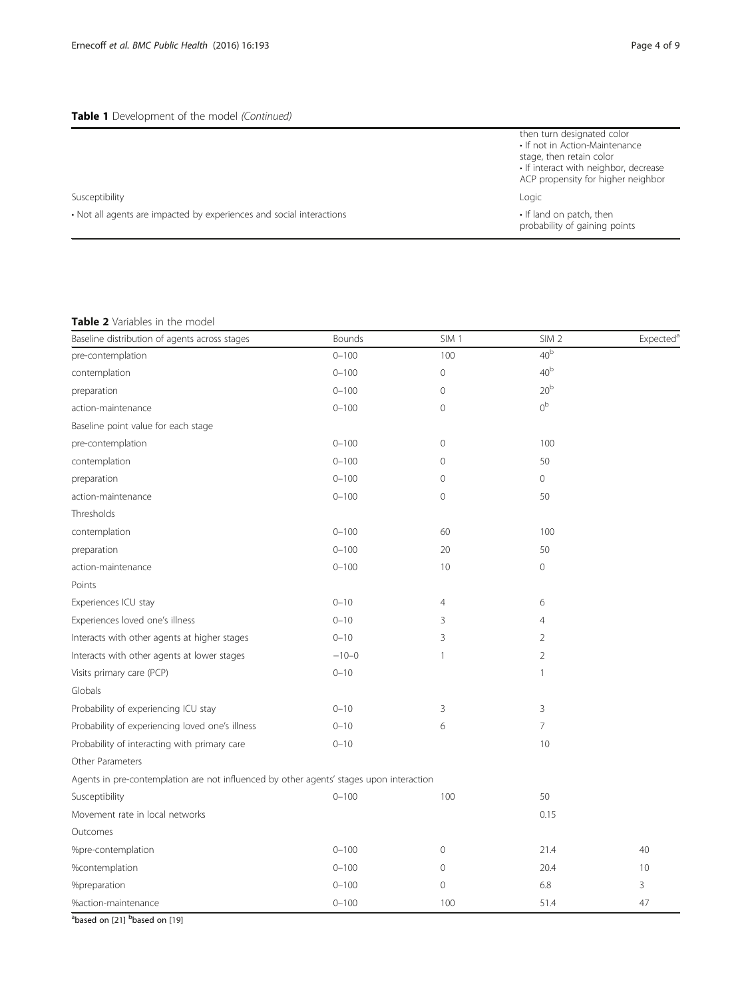## <span id="page-3-0"></span>Table 1 Development of the model (Continued)

|                                                                      | then turn designated color<br>• If not in Action-Maintenance<br>stage, then retain color<br>• If interact with neighbor, decrease<br>ACP propensity for higher neighbor |  |  |
|----------------------------------------------------------------------|-------------------------------------------------------------------------------------------------------------------------------------------------------------------------|--|--|
| Susceptibility                                                       | Logic                                                                                                                                                                   |  |  |
| • Not all agents are impacted by experiences and social interactions | • If land on patch, then<br>probability of gaining points                                                                                                               |  |  |

## Table 2 Variables in the model

| Baseline distribution of agents across stages                                           | Bounds    | SIM 1          | SIM <sub>2</sub> | Expected <sup>a</sup> |
|-----------------------------------------------------------------------------------------|-----------|----------------|------------------|-----------------------|
| pre-contemplation                                                                       | $0 - 100$ | 100            | 40 <sup>b</sup>  |                       |
| contemplation                                                                           | $0 - 100$ | $\mathbf 0$    | 40 <sup>b</sup>  |                       |
| preparation                                                                             | $0 - 100$ | 0              | 20 <sup>b</sup>  |                       |
| action-maintenance                                                                      | $0 - 100$ | 0              | 0 <sup>b</sup>   |                       |
| Baseline point value for each stage                                                     |           |                |                  |                       |
| pre-contemplation                                                                       | $0 - 100$ | 0              | 100              |                       |
| contemplation                                                                           | $0 - 100$ | 0              | 50               |                       |
| preparation                                                                             | $0 - 100$ | 0              | $\circ$          |                       |
| action-maintenance                                                                      | $0 - 100$ | 0              | 50               |                       |
| Thresholds                                                                              |           |                |                  |                       |
| contemplation                                                                           | $0 - 100$ | 60             | 100              |                       |
| preparation                                                                             | $0 - 100$ | 20             | 50               |                       |
| action-maintenance                                                                      | $0 - 100$ | 10             | $\circ$          |                       |
| Points                                                                                  |           |                |                  |                       |
| Experiences ICU stay                                                                    | $0 - 10$  | $\overline{4}$ | 6                |                       |
| Experiences loved one's illness                                                         | $0 - 10$  | 3              | $\overline{4}$   |                       |
| Interacts with other agents at higher stages                                            | $0 - 10$  | 3              | $\overline{2}$   |                       |
| Interacts with other agents at lower stages                                             | $-10-0$   | $\mathbf{1}$   | $\overline{2}$   |                       |
| Visits primary care (PCP)                                                               | $0 - 10$  |                | $\overline{1}$   |                       |
| Globals                                                                                 |           |                |                  |                       |
| Probability of experiencing ICU stay                                                    | $0 - 10$  | 3              | 3                |                       |
| Probability of experiencing loved one's illness                                         | $0 - 10$  | 6              | 7                |                       |
| Probability of interacting with primary care                                            | $0 - 10$  |                | 10               |                       |
| Other Parameters                                                                        |           |                |                  |                       |
| Agents in pre-contemplation are not influenced by other agents' stages upon interaction |           |                |                  |                       |
| Susceptibility                                                                          | $0 - 100$ | 100            | 50               |                       |
| Movement rate in local networks                                                         |           |                | 0.15             |                       |
| Outcomes                                                                                |           |                |                  |                       |
| %pre-contemplation                                                                      | $0 - 100$ | $\mathbb O$    | 21.4             | 40                    |
| %contemplation                                                                          | $0 - 100$ | $\mathbf 0$    | 20.4             | 10                    |
| %preparation                                                                            | $0 - 100$ | $\mathbf 0$    | 6.8              | 3                     |
| %action-maintenance                                                                     | $0 - 100$ | 100            | 51.4             | 47                    |

<sup>a</sup>based on [[21\]](#page-8-0) <sup>b</sup>based on [\[19](#page-8-0)]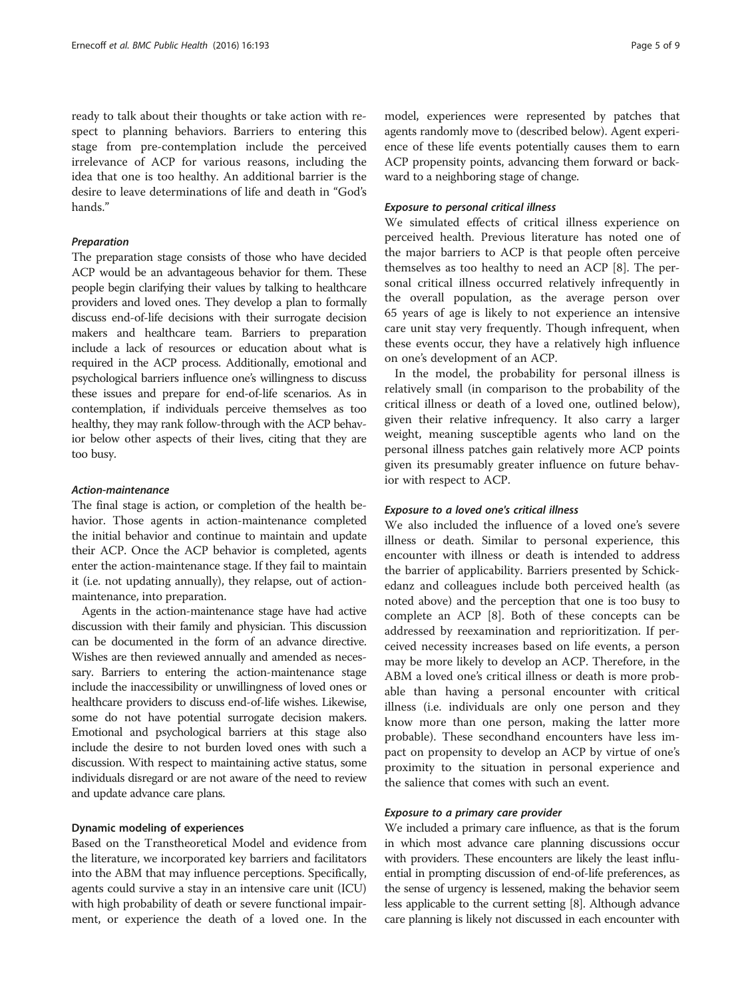ready to talk about their thoughts or take action with respect to planning behaviors. Barriers to entering this stage from pre-contemplation include the perceived irrelevance of ACP for various reasons, including the idea that one is too healthy. An additional barrier is the desire to leave determinations of life and death in "God's hands."

#### Preparation

The preparation stage consists of those who have decided ACP would be an advantageous behavior for them. These people begin clarifying their values by talking to healthcare providers and loved ones. They develop a plan to formally discuss end-of-life decisions with their surrogate decision makers and healthcare team. Barriers to preparation include a lack of resources or education about what is required in the ACP process. Additionally, emotional and psychological barriers influence one's willingness to discuss these issues and prepare for end-of-life scenarios. As in contemplation, if individuals perceive themselves as too healthy, they may rank follow-through with the ACP behavior below other aspects of their lives, citing that they are too busy.

## Action-maintenance

The final stage is action, or completion of the health behavior. Those agents in action-maintenance completed the initial behavior and continue to maintain and update their ACP. Once the ACP behavior is completed, agents enter the action-maintenance stage. If they fail to maintain it (i.e. not updating annually), they relapse, out of actionmaintenance, into preparation.

Agents in the action-maintenance stage have had active discussion with their family and physician. This discussion can be documented in the form of an advance directive. Wishes are then reviewed annually and amended as necessary. Barriers to entering the action-maintenance stage include the inaccessibility or unwillingness of loved ones or healthcare providers to discuss end-of-life wishes. Likewise, some do not have potential surrogate decision makers. Emotional and psychological barriers at this stage also include the desire to not burden loved ones with such a discussion. With respect to maintaining active status, some individuals disregard or are not aware of the need to review and update advance care plans.

## Dynamic modeling of experiences

Based on the Transtheoretical Model and evidence from the literature, we incorporated key barriers and facilitators into the ABM that may influence perceptions. Specifically, agents could survive a stay in an intensive care unit (ICU) with high probability of death or severe functional impairment, or experience the death of a loved one. In the

model, experiences were represented by patches that agents randomly move to (described below). Agent experience of these life events potentially causes them to earn ACP propensity points, advancing them forward or backward to a neighboring stage of change.

## Exposure to personal critical illness

We simulated effects of critical illness experience on perceived health. Previous literature has noted one of the major barriers to ACP is that people often perceive themselves as too healthy to need an ACP [\[8](#page-8-0)]. The personal critical illness occurred relatively infrequently in the overall population, as the average person over 65 years of age is likely to not experience an intensive care unit stay very frequently. Though infrequent, when these events occur, they have a relatively high influence on one's development of an ACP.

In the model, the probability for personal illness is relatively small (in comparison to the probability of the critical illness or death of a loved one, outlined below), given their relative infrequency. It also carry a larger weight, meaning susceptible agents who land on the personal illness patches gain relatively more ACP points given its presumably greater influence on future behavior with respect to ACP.

## Exposure to a loved one's critical illness

We also included the influence of a loved one's severe illness or death. Similar to personal experience, this encounter with illness or death is intended to address the barrier of applicability. Barriers presented by Schickedanz and colleagues include both perceived health (as noted above) and the perception that one is too busy to complete an ACP [\[8](#page-8-0)]. Both of these concepts can be addressed by reexamination and reprioritization. If perceived necessity increases based on life events, a person may be more likely to develop an ACP. Therefore, in the ABM a loved one's critical illness or death is more probable than having a personal encounter with critical illness (i.e. individuals are only one person and they know more than one person, making the latter more probable). These secondhand encounters have less impact on propensity to develop an ACP by virtue of one's proximity to the situation in personal experience and the salience that comes with such an event.

## Exposure to a primary care provider

We included a primary care influence, as that is the forum in which most advance care planning discussions occur with providers. These encounters are likely the least influential in prompting discussion of end-of-life preferences, as the sense of urgency is lessened, making the behavior seem less applicable to the current setting [\[8\]](#page-8-0). Although advance care planning is likely not discussed in each encounter with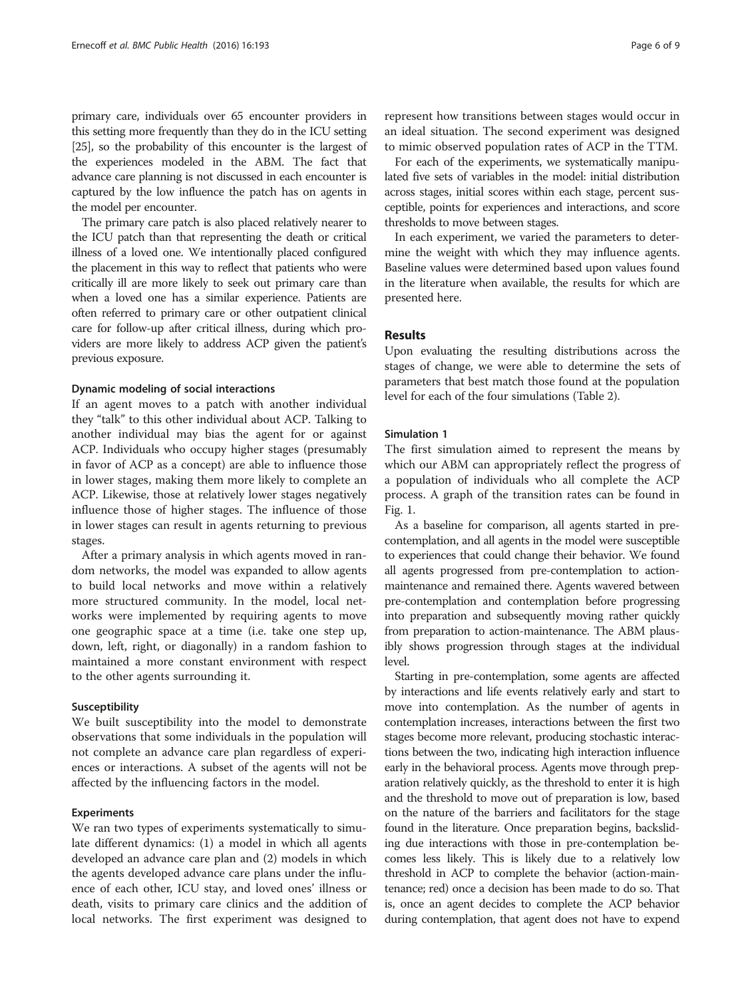primary care, individuals over 65 encounter providers in this setting more frequently than they do in the ICU setting [[25](#page-8-0)], so the probability of this encounter is the largest of the experiences modeled in the ABM. The fact that advance care planning is not discussed in each encounter is captured by the low influence the patch has on agents in the model per encounter.

The primary care patch is also placed relatively nearer to the ICU patch than that representing the death or critical illness of a loved one. We intentionally placed configured the placement in this way to reflect that patients who were critically ill are more likely to seek out primary care than when a loved one has a similar experience. Patients are often referred to primary care or other outpatient clinical care for follow-up after critical illness, during which providers are more likely to address ACP given the patient's previous exposure.

#### Dynamic modeling of social interactions

If an agent moves to a patch with another individual they "talk" to this other individual about ACP. Talking to another individual may bias the agent for or against ACP. Individuals who occupy higher stages (presumably in favor of ACP as a concept) are able to influence those in lower stages, making them more likely to complete an ACP. Likewise, those at relatively lower stages negatively influence those of higher stages. The influence of those in lower stages can result in agents returning to previous stages.

After a primary analysis in which agents moved in random networks, the model was expanded to allow agents to build local networks and move within a relatively more structured community. In the model, local networks were implemented by requiring agents to move one geographic space at a time (i.e. take one step up, down, left, right, or diagonally) in a random fashion to maintained a more constant environment with respect to the other agents surrounding it.

#### Susceptibility

We built susceptibility into the model to demonstrate observations that some individuals in the population will not complete an advance care plan regardless of experiences or interactions. A subset of the agents will not be affected by the influencing factors in the model.

## Experiments

We ran two types of experiments systematically to simulate different dynamics: (1) a model in which all agents developed an advance care plan and (2) models in which the agents developed advance care plans under the influence of each other, ICU stay, and loved ones' illness or death, visits to primary care clinics and the addition of local networks. The first experiment was designed to

represent how transitions between stages would occur in an ideal situation. The second experiment was designed to mimic observed population rates of ACP in the TTM.

For each of the experiments, we systematically manipulated five sets of variables in the model: initial distribution across stages, initial scores within each stage, percent susceptible, points for experiences and interactions, and score thresholds to move between stages.

In each experiment, we varied the parameters to determine the weight with which they may influence agents. Baseline values were determined based upon values found in the literature when available, the results for which are presented here.

## Results

Upon evaluating the resulting distributions across the stages of change, we were able to determine the sets of parameters that best match those found at the population level for each of the four simulations (Table [2](#page-3-0)).

## Simulation 1

The first simulation aimed to represent the means by which our ABM can appropriately reflect the progress of a population of individuals who all complete the ACP process. A graph of the transition rates can be found in Fig. [1](#page-6-0).

As a baseline for comparison, all agents started in precontemplation, and all agents in the model were susceptible to experiences that could change their behavior. We found all agents progressed from pre-contemplation to actionmaintenance and remained there. Agents wavered between pre-contemplation and contemplation before progressing into preparation and subsequently moving rather quickly from preparation to action-maintenance. The ABM plausibly shows progression through stages at the individual level.

Starting in pre-contemplation, some agents are affected by interactions and life events relatively early and start to move into contemplation. As the number of agents in contemplation increases, interactions between the first two stages become more relevant, producing stochastic interactions between the two, indicating high interaction influence early in the behavioral process. Agents move through preparation relatively quickly, as the threshold to enter it is high and the threshold to move out of preparation is low, based on the nature of the barriers and facilitators for the stage found in the literature. Once preparation begins, backsliding due interactions with those in pre-contemplation becomes less likely. This is likely due to a relatively low threshold in ACP to complete the behavior (action-maintenance; red) once a decision has been made to do so. That is, once an agent decides to complete the ACP behavior during contemplation, that agent does not have to expend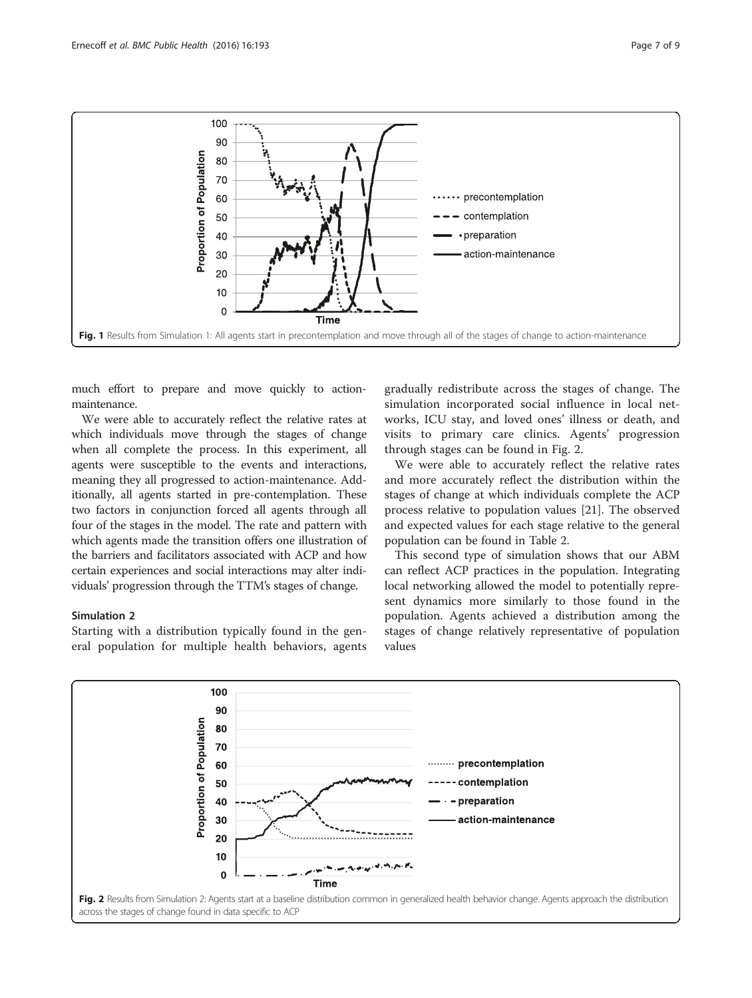

<span id="page-6-0"></span>

much effort to prepare and move quickly to actionmaintenance.

We were able to accurately reflect the relative rates at which individuals move through the stages of change when all complete the process. In this experiment, all agents were susceptible to the events and interactions, meaning they all progressed to action-maintenance. Additionally, all agents started in pre-contemplation. These two factors in conjunction forced all agents through all four of the stages in the model. The rate and pattern with which agents made the transition offers one illustration of the barriers and facilitators associated with ACP and how certain experiences and social interactions may alter individuals' progression through the TTM's stages of change.

## Simulation 2

Starting with a distribution typically found in the general population for multiple health behaviors, agents

gradually redistribute across the stages of change. The simulation incorporated social influence in local networks, ICU stay, and loved ones' illness or death, and visits to primary care clinics. Agents' progression through stages can be found in Fig. 2.

We were able to accurately reflect the relative rates and more accurately reflect the distribution within the stages of change at which individuals complete the ACP process relative to population values [\[21](#page-8-0)]. The observed and expected values for each stage relative to the general population can be found in Table [2](#page-3-0).

This second type of simulation shows that our ABM can reflect ACP practices in the population. Integrating local networking allowed the model to potentially represent dynamics more similarly to those found in the population. Agents achieved a distribution among the stages of change relatively representative of population values

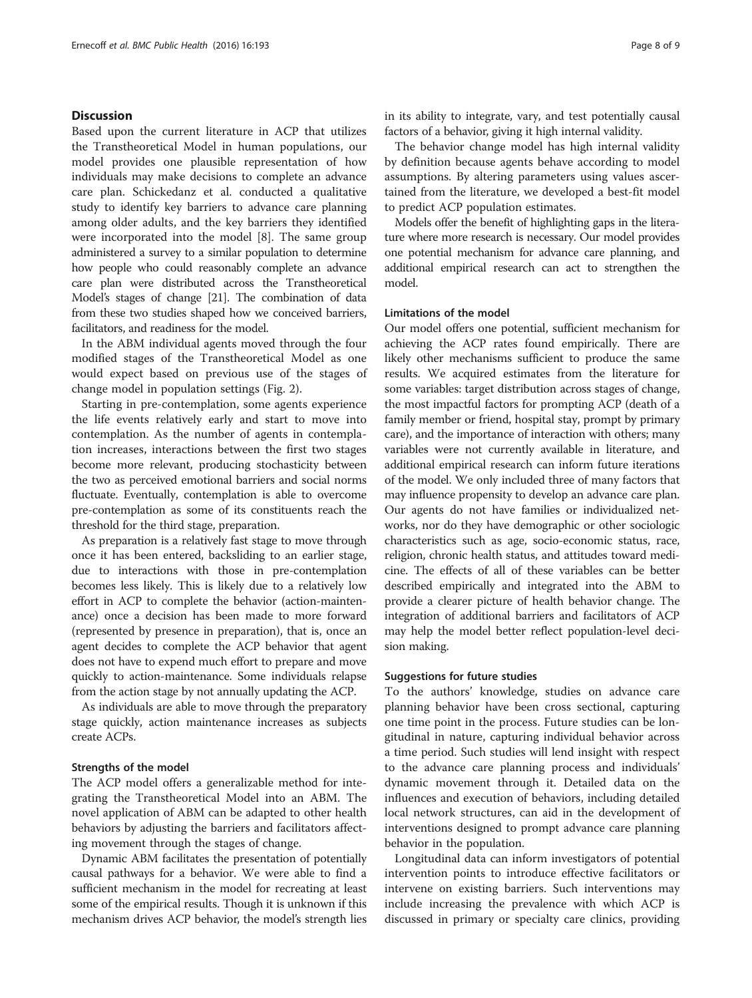## **Discussion**

Based upon the current literature in ACP that utilizes the Transtheoretical Model in human populations, our model provides one plausible representation of how individuals may make decisions to complete an advance care plan. Schickedanz et al. conducted a qualitative study to identify key barriers to advance care planning among older adults, and the key barriers they identified were incorporated into the model [[8\]](#page-8-0). The same group administered a survey to a similar population to determine how people who could reasonably complete an advance care plan were distributed across the Transtheoretical Model's stages of change [\[21\]](#page-8-0). The combination of data from these two studies shaped how we conceived barriers, facilitators, and readiness for the model.

In the ABM individual agents moved through the four modified stages of the Transtheoretical Model as one would expect based on previous use of the stages of change model in population settings (Fig. [2](#page-6-0)).

Starting in pre-contemplation, some agents experience the life events relatively early and start to move into contemplation. As the number of agents in contemplation increases, interactions between the first two stages become more relevant, producing stochasticity between the two as perceived emotional barriers and social norms fluctuate. Eventually, contemplation is able to overcome pre-contemplation as some of its constituents reach the threshold for the third stage, preparation.

As preparation is a relatively fast stage to move through once it has been entered, backsliding to an earlier stage, due to interactions with those in pre-contemplation becomes less likely. This is likely due to a relatively low effort in ACP to complete the behavior (action-maintenance) once a decision has been made to more forward (represented by presence in preparation), that is, once an agent decides to complete the ACP behavior that agent does not have to expend much effort to prepare and move quickly to action-maintenance. Some individuals relapse from the action stage by not annually updating the ACP.

As individuals are able to move through the preparatory stage quickly, action maintenance increases as subjects create ACPs.

#### Strengths of the model

The ACP model offers a generalizable method for integrating the Transtheoretical Model into an ABM. The novel application of ABM can be adapted to other health behaviors by adjusting the barriers and facilitators affecting movement through the stages of change.

Dynamic ABM facilitates the presentation of potentially causal pathways for a behavior. We were able to find a sufficient mechanism in the model for recreating at least some of the empirical results. Though it is unknown if this mechanism drives ACP behavior, the model's strength lies in its ability to integrate, vary, and test potentially causal factors of a behavior, giving it high internal validity.

The behavior change model has high internal validity by definition because agents behave according to model assumptions. By altering parameters using values ascertained from the literature, we developed a best-fit model to predict ACP population estimates.

Models offer the benefit of highlighting gaps in the literature where more research is necessary. Our model provides one potential mechanism for advance care planning, and additional empirical research can act to strengthen the model.

#### Limitations of the model

Our model offers one potential, sufficient mechanism for achieving the ACP rates found empirically. There are likely other mechanisms sufficient to produce the same results. We acquired estimates from the literature for some variables: target distribution across stages of change, the most impactful factors for prompting ACP (death of a family member or friend, hospital stay, prompt by primary care), and the importance of interaction with others; many variables were not currently available in literature, and additional empirical research can inform future iterations of the model. We only included three of many factors that may influence propensity to develop an advance care plan. Our agents do not have families or individualized networks, nor do they have demographic or other sociologic characteristics such as age, socio-economic status, race, religion, chronic health status, and attitudes toward medicine. The effects of all of these variables can be better described empirically and integrated into the ABM to provide a clearer picture of health behavior change. The integration of additional barriers and facilitators of ACP may help the model better reflect population-level decision making.

#### Suggestions for future studies

To the authors' knowledge, studies on advance care planning behavior have been cross sectional, capturing one time point in the process. Future studies can be longitudinal in nature, capturing individual behavior across a time period. Such studies will lend insight with respect to the advance care planning process and individuals' dynamic movement through it. Detailed data on the influences and execution of behaviors, including detailed local network structures, can aid in the development of interventions designed to prompt advance care planning behavior in the population.

Longitudinal data can inform investigators of potential intervention points to introduce effective facilitators or intervene on existing barriers. Such interventions may include increasing the prevalence with which ACP is discussed in primary or specialty care clinics, providing